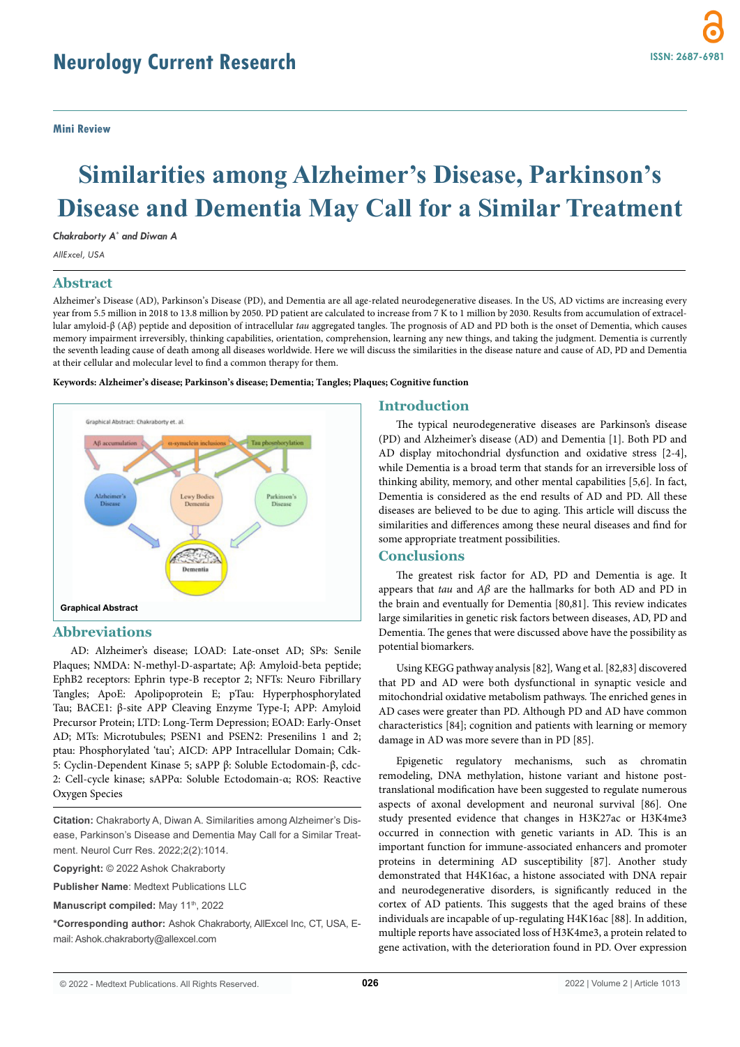# **Similarities among Alzheimer's Disease, Parkinson's Disease and Dementia May Call for a Similar Treatment**

*Chakraborty A\* and Diwan A*

*AllExcel, USA*

## **Abstract**

Alzheimer's Disease (AD), Parkinson's Disease (PD), and Dementia are all age-related neurodegenerative diseases. In the US, AD victims are increasing every year from 5.5 million in 2018 to 13.8 million by 2050. PD patient are calculated to increase from 7 K to 1 million by 2030. Results from accumulation of extracellular amyloid-β (Aβ) peptide and deposition of intracellular *tau* aggregated tangles. The prognosis of AD and PD both is the onset of Dementia, which causes memory impairment irreversibly, thinking capabilities, orientation, comprehension, learning any new things, and taking the judgment. Dementia is currently the seventh leading cause of death among all diseases worldwide. Here we will discuss the similarities in the disease nature and cause of AD, PD and Dementia at their cellular and molecular level to find a common therapy for them.





## **Abbreviations**

AD: Alzheimer's disease; LOAD: Late-onset AD; SPs: Senile Plaques; NMDA: N-methyl-D-aspartate; Aβ: Amyloid-beta peptide; EphB2 receptors: Ephrin type-B receptor 2; NFTs: Neuro Fibrillary Tangles; ApoE: Apolipoprotein E; pTau: Hyperphosphorylated Tau; BACE1: β-site APP Cleaving Enzyme Type-I; APP: Amyloid Precursor Protein; LTD: Long-Term Depression; EOAD: Early-Onset AD; MTs: Microtubules; PSEN1 and PSEN2: Presenilins 1 and 2; ptau: Phosphorylated 'tau'; AICD: APP Intracellular Domain; Cdk-5: Cyclin-Dependent Kinase 5; sAPP β: Soluble Ectodomain-β, cdc-2: Cell-cycle kinase; sAPPα: Soluble Ectodomain-α; ROS: Reactive Oxygen Species

**Citation:** Chakraborty A, Diwan A. Similarities among Alzheimer's Disease, Parkinson's Disease and Dementia May Call for a Similar Treatment. Neurol Curr Res. 2022;2(2):1014.

**Copyright:** © 2022 Ashok Chakraborty

**Publisher Name**: Medtext Publications LLC

**Manuscript compiled:** May 11<sup>th</sup>, 2022

**\*Corresponding author:** Ashok Chakraborty, AllExcel Inc, CT, USA, Email: Ashok.chakraborty@allexcel.com

#### **Introduction**

The typical neurodegenerative diseases are Parkinson's disease (PD) and Alzheimer's disease (AD) and Dementia [1]. Both PD and AD display mitochondrial dysfunction and oxidative stress [2-4], while Dementia is a broad term that stands for an irreversible loss of thinking ability, memory, and other mental capabilities [5,6]*.* In fact, Dementia is considered as the end results of AD and PD. All these diseases are believed to be due to aging. This article will discuss the similarities and differences among these neural diseases and find for some appropriate treatment possibilities.

#### **Conclusions**

The greatest risk factor for AD, PD and Dementia is age. It appears that *tau* and *Aβ* are the hallmarks for both AD and PD in the brain and eventually for Dementia [80,81]. This review indicates large similarities in genetic risk factors between diseases, AD, PD and Dementia. The genes that were discussed above have the possibility as potential biomarkers.

Using KEGG pathway analysis [82]*,* Wang et al. [82,83] discovered that PD and AD were both dysfunctional in synaptic vesicle and mitochondrial oxidative metabolism pathways*.* The enriched genes in AD cases were greater than PD. Although PD and AD have common characteristics [84]; cognition and patients with learning or memory damage in AD was more severe than in PD [85].

Epigenetic regulatory mechanisms, such as chromatin remodeling, DNA methylation, histone variant and histone posttranslational modification have been suggested to regulate numerous aspects of axonal development and neuronal survival [86]*.* One study presented evidence that changes in H3K27ac or H3K4me3 occurred in connection with genetic variants in AD. This is an important function for immune-associated enhancers and promoter proteins in determining AD susceptibility [87]. Another study demonstrated that H4K16ac, a histone associated with DNA repair and neurodegenerative disorders, is significantly reduced in the cortex of AD patients. This suggests that the aged brains of these individuals are incapable of up-regulating H4K16ac [88]*.* In addition, multiple reports have associated loss of H3K4me3, a protein related to gene activation, with the deterioration found in PD. Over expression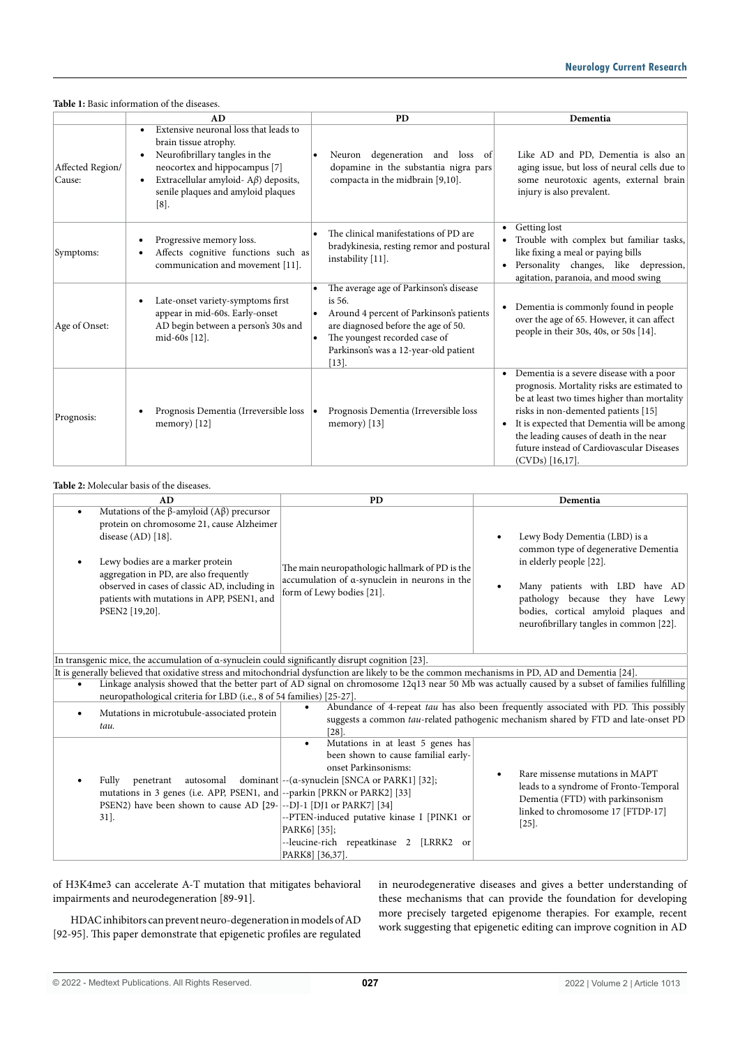|                            | AD                                                                                                                                                                                                                                | <b>PD</b>                                                                                                                                                                                                                 | Dementia                                                                                                                                                                                                                                                                                                                                                           |
|----------------------------|-----------------------------------------------------------------------------------------------------------------------------------------------------------------------------------------------------------------------------------|---------------------------------------------------------------------------------------------------------------------------------------------------------------------------------------------------------------------------|--------------------------------------------------------------------------------------------------------------------------------------------------------------------------------------------------------------------------------------------------------------------------------------------------------------------------------------------------------------------|
| Affected Region/<br>Cause: | Extensive neuronal loss that leads to<br>brain tissue atrophy.<br>Neurofibrillary tangles in the<br>neocortex and hippocampus [7]<br>Extracellular amyloid- $A\beta$ ) deposits,<br>senile plaques and amyloid plaques<br>$[8]$ . | Neuron degeneration and loss of<br>dopamine in the substantia nigra pars<br>compacta in the midbrain [9,10].                                                                                                              | Like AD and PD, Dementia is also an<br>aging issue, but loss of neural cells due to<br>some neurotoxic agents, external brain<br>injury is also prevalent.                                                                                                                                                                                                         |
| Symptoms:                  | Progressive memory loss.<br>٠<br>Affects cognitive functions such as<br>communication and movement [11].                                                                                                                          | The clinical manifestations of PD are<br>bradykinesia, resting remor and postural<br>instability [11].                                                                                                                    | Getting lost<br>٠<br>Trouble with complex but familiar tasks,<br>like fixing a meal or paying bills<br>Personality changes, like depression,<br>agitation, paranoia, and mood swing                                                                                                                                                                                |
| Age of Onset:              | Late-onset variety-symptoms first<br>$\bullet$<br>appear in mid-60s. Early-onset<br>AD begin between a person's 30s and<br>mid-60s [12].                                                                                          | The average age of Parkinson's disease<br>is 56.<br>Around 4 percent of Parkinson's patients<br>are diagnosed before the age of 50.<br>The youngest recorded case of<br>Parkinson's was a 12-year-old patient<br>$[13]$ . | Dementia is commonly found in people<br>٠<br>over the age of 65. However, it can affect<br>people in their 30s, 40s, or 50s [14].                                                                                                                                                                                                                                  |
| Prognosis:                 | Prognosis Dementia (Irreversible loss<br>$\bullet$<br>memory) $[12]$                                                                                                                                                              | Prognosis Dementia (Irreversible loss<br>memory) $[13]$                                                                                                                                                                   | Dementia is a severe disease with a poor<br>$\bullet$<br>prognosis. Mortality risks are estimated to<br>be at least two times higher than mortality<br>risks in non-demented patients [15]<br>It is expected that Dementia will be among<br>$\bullet$<br>the leading causes of death in the near<br>future instead of Cardiovascular Diseases<br>$(CVDs)$ [16,17]. |

#### **Table 2:** Molecular basis of the diseases.

| AD                                                                                                                                                                                                                                                                                                                                                                          | <b>PD</b>                                                                                                                                                                                                                                                                                                                  | Dementia                                                                                                                                                                                                                                                  |  |
|-----------------------------------------------------------------------------------------------------------------------------------------------------------------------------------------------------------------------------------------------------------------------------------------------------------------------------------------------------------------------------|----------------------------------------------------------------------------------------------------------------------------------------------------------------------------------------------------------------------------------------------------------------------------------------------------------------------------|-----------------------------------------------------------------------------------------------------------------------------------------------------------------------------------------------------------------------------------------------------------|--|
| Mutations of the $\beta$ -amyloid (A $\beta$ ) precursor<br>$\bullet$<br>protein on chromosome 21, cause Alzheimer<br>disease $(AD)$ [18].<br>Lewy bodies are a marker protein<br>aggregation in PD, are also frequently<br>observed in cases of classic AD, including in<br>patients with mutations in APP, PSEN1, and<br>PSEN2 [19,20].                                   | The main neuropathologic hallmark of PD is the<br>accumulation of a-synuclein in neurons in the<br>form of Lewy bodies [21].                                                                                                                                                                                               | Lewy Body Dementia (LBD) is a<br>common type of degenerative Dementia<br>in elderly people [22].<br>Many patients with LBD have AD<br>pathology because they have Lewy<br>bodies, cortical amyloid plaques and<br>neurofibrillary tangles in common [22]. |  |
| In transgenic mice, the accumulation of $\alpha$ -synuclein could significantly disrupt cognition [23].                                                                                                                                                                                                                                                                     |                                                                                                                                                                                                                                                                                                                            |                                                                                                                                                                                                                                                           |  |
| It is generally believed that oxidative stress and mitochondrial dysfunction are likely to be the common mechanisms in PD, AD and Dementia [24].<br>Linkage analysis showed that the better part of AD signal on chromosome 12q13 near 50 Mb was actually caused by a subset of families fulfilling<br>neuropathological criteria for LBD (i.e., 8 of 54 families) [25-27]. |                                                                                                                                                                                                                                                                                                                            |                                                                                                                                                                                                                                                           |  |
| Mutations in microtubule-associated protein<br>$\bullet$<br>tau.                                                                                                                                                                                                                                                                                                            | [28]                                                                                                                                                                                                                                                                                                                       | Abundance of 4-repeat tau has also been frequently associated with PD. This possibly<br>suggests a common tau-related pathogenic mechanism shared by FTD and late-onset PD                                                                                |  |
| Fully<br>autosomal<br>penetrant<br>mutations in 3 genes (i.e. APP, PSEN1, and --parkin [PRKN or PARK2] [33]<br>PSEN2) have been shown to cause AD [29- --DJ-1 [DJ1 or PARK7] [34]<br>$31$ ].                                                                                                                                                                                | Mutations in at least 5 genes has<br>been shown to cause familial early-<br>onset Parkinsonisms:<br>dominant $\left[-(\alpha\text{-symuclein }[\text{SNCA or } \text{PARK1}]   32]\right]$ ;<br>--PTEN-induced putative kinase I [PINK1 or<br>PARK6] [35];<br>--leucine-rich repeatkinase 2<br>[LRRK2 or<br>PARK8 [36,37]. | Rare missense mutations in MAPT<br>leads to a syndrome of Fronto-Temporal<br>Dementia (FTD) with parkinsonism<br>linked to chromosome 17 [FTDP-17]<br>$[25]$ .                                                                                            |  |

of H3K4me3 can accelerate A-T mutation that mitigates behavioral impairments and neurodegeneration [89-91].

HDAC inhibitors can prevent neuro-degeneration in models of AD [92-95]. This paper demonstrate that epigenetic profiles are regulated in neurodegenerative diseases and gives a better understanding of these mechanisms that can provide the foundation for developing more precisely targeted epigenome therapies. For example, recent work suggesting that epigenetic editing can improve cognition in AD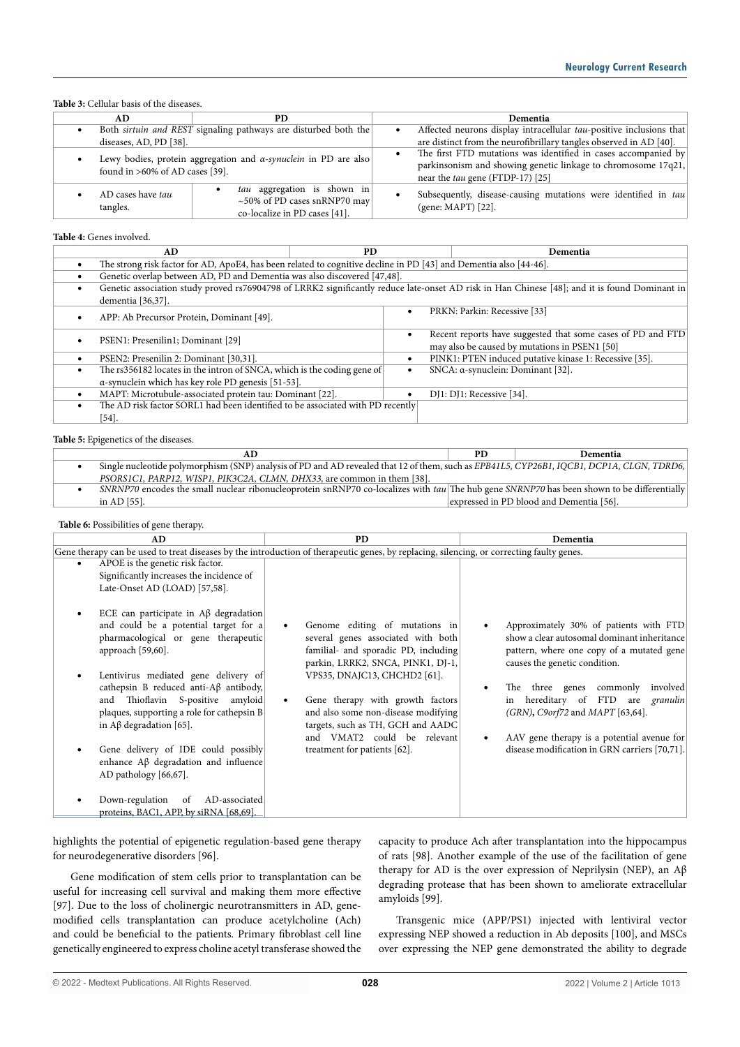#### **Table 3:** Cellular basis of the diseases.

| AD.                                                                                                        | PD                                                                                                 | Dementia                                                                                                                                                                   |
|------------------------------------------------------------------------------------------------------------|----------------------------------------------------------------------------------------------------|----------------------------------------------------------------------------------------------------------------------------------------------------------------------------|
| Both sirtuin and REST signaling pathways are disturbed both the                                            |                                                                                                    | Affected neurons display intracellular tau-positive inclusions that                                                                                                        |
| diseases, AD, PD [38].                                                                                     |                                                                                                    | are distinct from the neurofibrillary tangles observed in AD [40].                                                                                                         |
| Lewy bodies, protein aggregation and $\alpha$ -synuclein in PD are also<br>found in >60% of AD cases [39]. |                                                                                                    | The first FTD mutations was identified in cases accompanied by<br>parkinsonism and showing genetic linkage to chromosome 17q21,<br>near the <i>tau</i> gene (FTDP-17) [25] |
| AD cases have tau<br>tangles.                                                                              | tau aggregation is shown in<br>$\sim$ 50% of PD cases snRNP70 may<br>co-localize in PD cases [41]. | Subsequently, disease-causing mutations were identified in tau<br>(gene: MAPT) [22].                                                                                       |

#### **Table 4:** Genes involved.

| AD.                                                                                                               | PD.                                                                                                                                           | Dementia                                                                                                     |  |
|-------------------------------------------------------------------------------------------------------------------|-----------------------------------------------------------------------------------------------------------------------------------------------|--------------------------------------------------------------------------------------------------------------|--|
| The strong risk factor for AD, ApoE4, has been related to cognitive decline in PD [43] and Dementia also [44-46]. |                                                                                                                                               |                                                                                                              |  |
| $\bullet$                                                                                                         | Genetic overlap between AD, PD and Dementia was also discovered [47,48].                                                                      |                                                                                                              |  |
|                                                                                                                   | Genetic association study proved rs76904798 of LRRK2 significantly reduce late-onset AD risk in Han Chinese [48]; and it is found Dominant in |                                                                                                              |  |
| dementia [36,37].                                                                                                 |                                                                                                                                               |                                                                                                              |  |
| APP: Ab Precursor Protein, Dominant [49].<br>$\bullet$                                                            |                                                                                                                                               | PRKN: Parkin: Recessive [33]                                                                                 |  |
| PSEN1: Presenilin1; Dominant [29]                                                                                 |                                                                                                                                               | Recent reports have suggested that some cases of PD and FTD<br>may also be caused by mutations in PSEN1 [50] |  |
| PSEN2: Presenilin 2: Dominant [30,31].                                                                            |                                                                                                                                               | PINK1: PTEN induced putative kinase 1: Recessive [35].                                                       |  |
| The rs356182 locates in the intron of SNCA, which is the coding gene of<br>$\bullet$                              |                                                                                                                                               | SNCA: α-synuclein: Dominant [32].                                                                            |  |
| α-synuclein which has key role PD genesis [51-53].                                                                |                                                                                                                                               |                                                                                                              |  |
| MAPT: Microtubule-associated protein tau: Dominant [22].<br>$\bullet$                                             |                                                                                                                                               | DJ1: DJ1: Recessive [34].                                                                                    |  |
| The AD risk factor SORL1 had been identified to be associated with PD recently                                    |                                                                                                                                               |                                                                                                              |  |
| $54$ ].                                                                                                           |                                                                                                                                               |                                                                                                              |  |

**Table 5:** Epigenetics of the diseases.

| AU                                                                                                                                         | PD | Dementia                                 |
|--------------------------------------------------------------------------------------------------------------------------------------------|----|------------------------------------------|
| Single nucleotide polymorphism (SNP) analysis of PD and AD revealed that 12 of them, such as EPB41L5, CYP26B1, IQCB1, DCP1A, CLGN, TDRD6,  |    |                                          |
| PSORS1C1, PARP12, WISP1, PIK3C2A, CLMN, DHX33, are common in them [38].                                                                    |    |                                          |
| SNRNP70 encodes the small nuclear ribonucleoprotein snRNP70 co-localizes with tau The hub gene SNRNP70 has been shown to be differentially |    |                                          |
| in AD [55].                                                                                                                                |    | expressed in PD blood and Dementia [56]. |

#### **Table 6:** Possibilities of gene therapy.

| AD                                                                                                                                                                                                                                                    | <b>PD</b>                                                                                                                                                                                                                 | Dementia                                                                                                                                                                                                       |  |
|-------------------------------------------------------------------------------------------------------------------------------------------------------------------------------------------------------------------------------------------------------|---------------------------------------------------------------------------------------------------------------------------------------------------------------------------------------------------------------------------|----------------------------------------------------------------------------------------------------------------------------------------------------------------------------------------------------------------|--|
| Gene therapy can be used to treat diseases by the introduction of therapeutic genes, by replacing, silencing, or correcting faulty genes.                                                                                                             |                                                                                                                                                                                                                           |                                                                                                                                                                                                                |  |
| APOE is the genetic risk factor.<br>Significantly increases the incidence of<br>Late-Onset AD (LOAD) [57,58].<br>ECE can participate in $\mathbf{A}\beta$ degradation<br>and could be a potential target for a<br>pharmacological or gene therapeutic | Genome editing of mutations in<br>several genes associated with both                                                                                                                                                      | Approximately 30% of patients with FTD<br>show a clear autosomal dominant inheritance                                                                                                                          |  |
| approach $[59,60]$ .<br>Lentivirus mediated gene delivery of<br>cathepsin B reduced anti- $A\beta$ antibody,<br>Thioflavin S-positive amyloid<br>and<br>plaques, supporting a role for cathepsin B<br>in $A\beta$ degradation [65].                   | familial- and sporadic PD, including<br>parkin, LRRK2, SNCA, PINK1, DJ-1,<br>VPS35, DNAJC13, CHCHD2 [61].<br>Gene therapy with growth factors<br>and also some non-disease modifying<br>targets, such as TH, GCH and AADC | pattern, where one copy of a mutated gene<br>causes the genetic condition.<br>commonly<br>involved<br>three genes<br>The<br>hereditary of FTD<br>are <i>granulin</i><br>in<br>(GRN), C9orf72 and MAPT [63,64]. |  |
| Gene delivery of IDE could possibly<br>enhance $A\beta$ degradation and influence<br>AD pathology $[66, 67]$ .<br>Down-regulation<br>AD-associated<br><sub>of</sub><br>proteins, BAC1, APP, by siRNA [68,69].                                         | and VMAT2 could be relevant<br>treatment for patients [62].                                                                                                                                                               | AAV gene therapy is a potential avenue for<br>disease modification in GRN carriers [70,71].                                                                                                                    |  |

highlights the potential of epigenetic regulation-based gene therapy for neurodegenerative disorders [96].

Gene modification of stem cells prior to transplantation can be useful for increasing cell survival and making them more effective [97]. Due to the loss of cholinergic neurotransmitters in AD, genemodified cells transplantation can produce acetylcholine (Ach) and could be beneficial to the patients. Primary fibroblast cell line genetically engineered to express choline acetyl transferase showed the capacity to produce Ach after transplantation into the hippocampus of rats [98]. Another example of the use of the facilitation of gene therapy for AD is the over expression of Neprilysin (NEP), an Aβ degrading protease that has been shown to ameliorate extracellular amyloids [99].

Transgenic mice (APP/PS1) injected with lentiviral vector expressing NEP showed a reduction in Ab deposits [100], and MSCs over expressing the NEP gene demonstrated the ability to degrade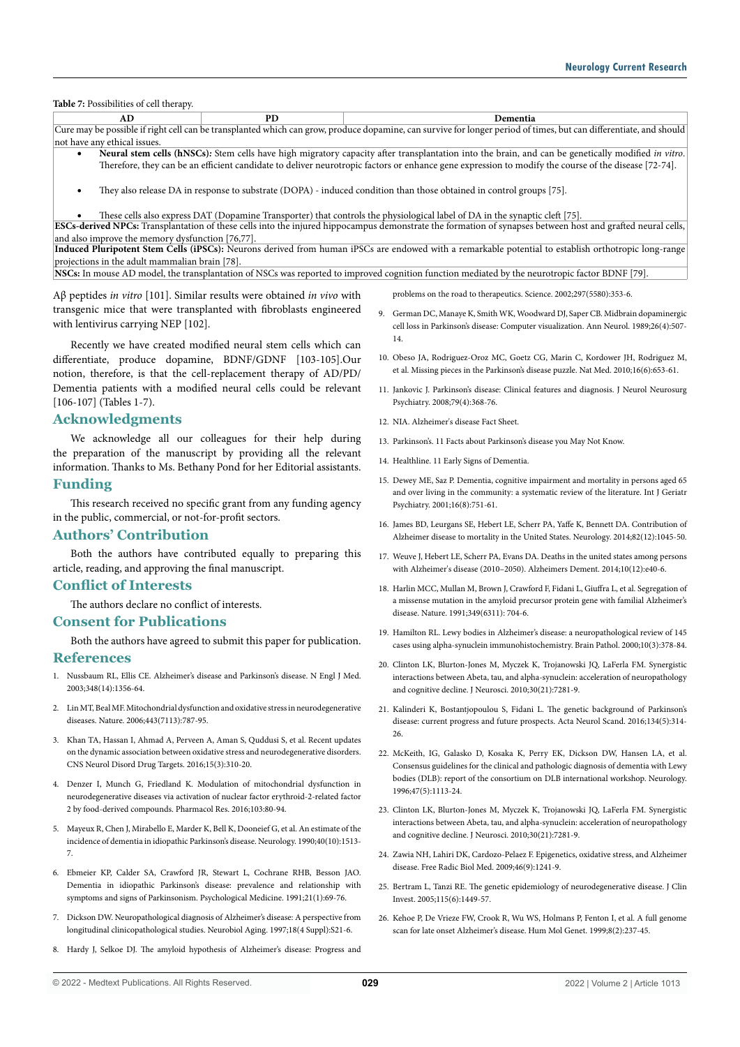**Table 7:** Possibilities of cell therapy.

| AD                                                                                                                                                                 | PD. | Dementia                                                                                                                                             |
|--------------------------------------------------------------------------------------------------------------------------------------------------------------------|-----|------------------------------------------------------------------------------------------------------------------------------------------------------|
| Cure may be possible if right cell can be transplanted which can grow, produce dopamine, can survive for longer period of times, but can differentiate, and should |     |                                                                                                                                                      |
| not have any ethical issues.                                                                                                                                       |     |                                                                                                                                                      |
| Neural stem cells (hNSCs): Stem cells have high migratory capacity after transplantation into the brain, and can be genetically modified in vitro.                 |     |                                                                                                                                                      |
|                                                                                                                                                                    |     | Therefore, they can be an efficient candidate to deliver neurotropic factors or enhance gene expression to modify the course of the disease [72-74]. |
|                                                                                                                                                                    |     |                                                                                                                                                      |

They also release DA in response to substrate (DOPA) - induced condition than those obtained in control groups [75].

These cells also express DAT (Dopamine Transporter) that controls the physiological label of DA in the synaptic cleft [75]. **ESCs-derived NPCs:** Transplantation of these cells into the injured hippocampus demonstrate the formation of synapses between host and grafted neural cells, and also improve the memory dysfunction [76,77]. **Induced Pluripotent Stem Cells (iPSCs):** Neurons derived from human iPSCs are endowed with a remarkable potential to establish orthotropic long-range projections in the adult mammalian brain [78].

**NSCs:** In mouse AD model, the transplantation of NSCs was reported to improved cognition function mediated by the neurotropic factor BDNF [79].

Aβ peptides *in vitro* [101]. Similar results were obtained *in vivo* with transgenic mice that were transplanted with fibroblasts engineered with lentivirus carrying NEP [102].

Recently we have created modified neural stem cells which can differentiate, produce dopamine, BDNF/GDNF [103-105].Our notion, therefore, is that the cell-replacement therapy of AD/PD/ Dementia patients with a modified neural cells could be relevant [106-107] (Tables 1-7).

#### **Acknowledgments**

We acknowledge all our colleagues for their help during the preparation of the manuscript by providing all the relevant information. Thanks to Ms. Bethany Pond for her Editorial assistants.

## **Funding**

This research received no specific grant from any funding agency in the public, commercial, or not-for-profit sectors.

#### **Authors' Contribution**

Both the authors have contributed equally to preparing this article, reading, and approving the final manuscript.

#### **Conflict of Interests**

The authors declare no conflict of interests.

# **Consent for Publications**

Both the authors have agreed to submit this paper for publication.

#### **References**

- 1. Nussbaum RL, Ellis CE. Alzheimer's disease and Parkinson's disease. N Engl J Med. 2003;348(14):1356-64.
- 2. Lin MT, Beal MF. Mitochondrial dysfunction and oxidative stress in neurodegenerative diseases. Nature. 2006;443(7113):787-95.
- 3. Khan TA, Hassan I, Ahmad A, Perveen A, Aman S, Quddusi S, et al. Recent updates on the dynamic association between oxidative stress and neurodegenerative disorders. CNS Neurol Disord Drug Targets. 2016;15(3):310-20.
- 4. Denzer I, Munch G, Friedland K. Modulation of mitochondrial dysfunction in neurodegenerative diseases via activation of nuclear factor erythroid-2-related factor 2 by food-derived compounds. Pharmacol Res. 2016;103:80-94.
- 5. Mayeux R, Chen J, Mirabello E, Marder K, Bell K, Dooneief G, et al. An estimate of the incidence of dementia in idiopathic Parkinson's disease. Neurology. 1990;40(10):1513- 7.
- 6. Ebmeier KP, Calder SA, Crawford JR, Stewart L, Cochrane RHB, Besson JAO. Dementia in idiopathic Parkinson's disease: prevalence and relationship with symptoms and signs of Parkinsonism. Psychological Medicine. 1991;21(1):69-76.
- 7. Dickson DW. Neuropathological diagnosis of Alzheimer's disease: A perspective from longitudinal clinicopathological studies. Neurobiol Aging. 1997;18(4 Suppl):S21-6.
- 8. Hardy J, Selkoe DJ. The amyloid hypothesis of Alzheimer's disease: Progress and

problems on the road to therapeutics. Science. 2002;297(5580):353-6.

- 9. German DC, Manaye K, Smith WK, Woodward DJ, Saper CB. Midbrain dopaminergic cell loss in Parkinson's disease: Computer visualization. Ann Neurol. 1989;26(4):507- 14.
- 10. Obeso JA, Rodriguez-Oroz MC, Goetz CG, Marin C, Kordower JH, Rodriguez M, et al. Missing pieces in the Parkinson's disease puzzle. Nat Med. 2010;16(6):653-61.
- 11. Jankovic J. Parkinson's disease: Clinical features and diagnosis. J Neurol Neurosurg Psychiatry. 2008;79(4):368-76.
- 12. NIA. Alzheimer's disease Fact Sheet.
- 13. Parkinson's. 11 Facts about Parkinson's disease you May Not Know.
- 14. Healthline. 11 Early Signs of Dementia.
- 15. Dewey ME, Saz P. Dementia, cognitive impairment and mortality in persons aged 65 and over living in the community: a systematic review of the literature. Int J Geriatr Psychiatry. 2001;16(8):751-61.
- 16. James BD, Leurgans SE, Hebert LE, Scherr PA, Yaffe K, Bennett DA. Contribution of Alzheimer disease to mortality in the United States. Neurology. 2014;82(12):1045-50.
- 17. Weuve J, Hebert LE, Scherr PA, Evans DA. Deaths in the united states among persons with Alzheimer's disease (2010–2050). Alzheimers Dement. 2014;10(12):e40-6.
- 18. Harlin MCC, Mullan M, Brown J, Crawford F, Fidani L, Giuffra L, et al. Segregation of a missense mutation in the amyloid precursor protein gene with familial Alzheimer's disease. Nature. 1991;349(6311): 704-6.
- 19. Hamilton RL. Lewy bodies in Alzheimer's disease: a neuropathological review of 145 cases using alpha-synuclein immunohistochemistry. Brain Pathol. 2000;10(3):378-84.
- 20. Clinton LK, Blurton-Jones M, Myczek K, Trojanowski JQ, LaFerla FM. Synergistic interactions between Abeta, tau, and alpha-synuclein: acceleration of neuropathology and cognitive decline. J Neurosci. 2010;30(21):7281-9.
- 21. Kalinderi K, Bostantjopoulou S, Fidani L. The genetic background of Parkinson's disease: current progress and future prospects. Acta Neurol Scand. 2016;134(5):314-  $26$
- 22. McKeith, IG, Galasko D, Kosaka K, Perry EK, Dickson DW, Hansen LA, et al. Consensus guidelines for the clinical and pathologic diagnosis of dementia with Lewy bodies (DLB): report of the consortium on DLB international workshop. Neurology. 1996;47(5):1113-24.
- 23. Clinton LK, Blurton-Jones M, Myczek K, Trojanowski JQ, LaFerla FM. Synergistic interactions between Abeta, tau, and alpha-synuclein: acceleration of neuropathology and cognitive decline. J Neurosci. 2010;30(21):7281-9.
- 24. Zawia NH, Lahiri DK, Cardozo-Pelaez F. Epigenetics, oxidative stress, and Alzheimer disease. Free Radic Biol Med. 2009;46(9):1241-9.
- 25. Bertram L, Tanzi RE. The genetic epidemiology of neurodegenerative disease. J Clin Invest. 2005;115(6):1449-57.
- 26. Kehoe P, De Vrieze FW, Crook R, Wu WS, Holmans P, Fenton I, et al. A full genome scan for late onset Alzheimer's disease. Hum Mol Genet. 1999;8(2):237-45.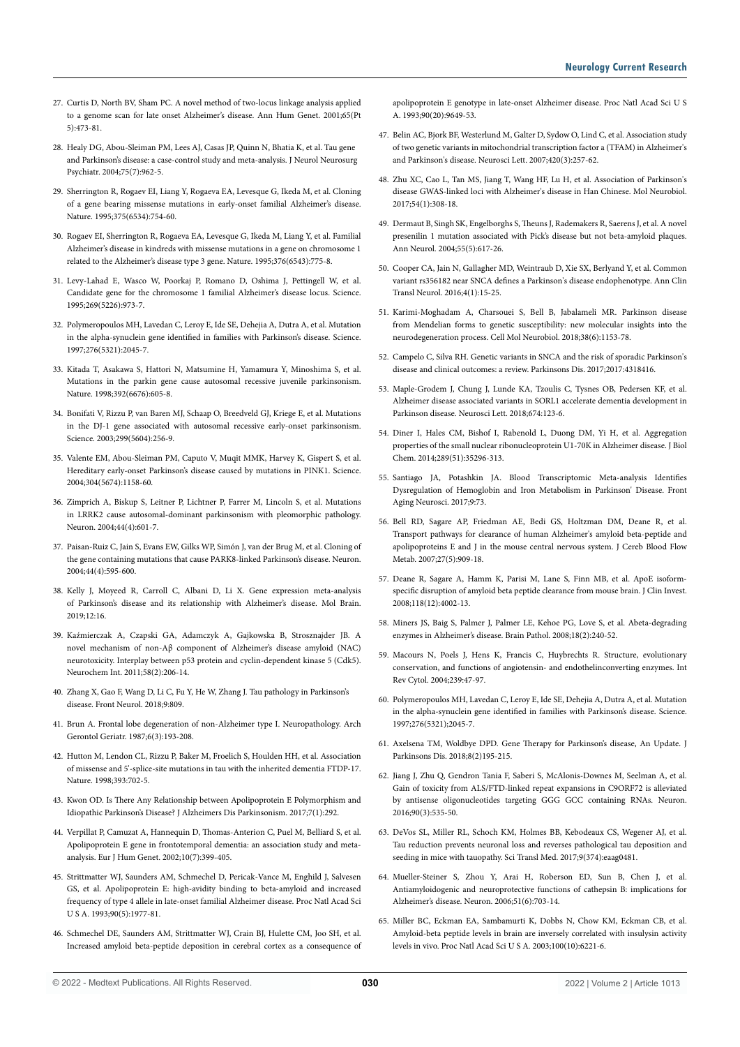- 27. Curtis D, North BV, Sham PC. A novel method of two-locus linkage analysis applied to a genome scan for late onset Alzheimer's disease. Ann Hum Genet. 2001;65(Pt 5):473-81.
- 28. Healy DG, Abou-Sleiman PM, Lees AJ, Casas JP, Quinn N, Bhatia K, et al. Tau gene and Parkinson's disease: a case-control study and meta-analysis. J Neurol Neurosurg Psychiatr. 2004;75(7):962-5.
- 29. Sherrington R, Rogaev EI, Liang Y, Rogaeva EA, Levesque G, Ikeda M, et al. Cloning of a gene bearing missense mutations in early-onset familial Alzheimer's disease. Nature. 1995;375(6534):754-60.
- 30. Rogaev EI, Sherrington R, Rogaeva EA, Levesque G, Ikeda M, Liang Y, et al. Familial Alzheimer's disease in kindreds with missense mutations in a gene on chromosome 1 related to the Alzheimer's disease type 3 gene. Nature. 1995;376(6543):775-8.
- 31. Levy-Lahad E, Wasco W, Poorkaj P, Romano D, Oshima J, Pettingell W, et al. Candidate gene for the chromosome 1 familial Alzheimer's disease locus. Science. 1995;269(5226):973-7.
- 32. Polymeropoulos MH, Lavedan C, Leroy E, Ide SE, Dehejia A, Dutra A, et al. Mutation in the alpha-synuclein gene identified in families with Parkinson's disease. Science. 1997;276(5321):2045-7.
- 33. Kitada T, Asakawa S, Hattori N, Matsumine H, Yamamura Y, Minoshima S, et al. Mutations in the parkin gene cause autosomal recessive juvenile parkinsonism. Nature. 1998;392(6676):605-8.
- 34. Bonifati V, Rizzu P, van Baren MJ, Schaap O, Breedveld GJ, Kriege E, et al. Mutations in the DJ-1 gene associated with autosomal recessive early-onset parkinsonism. Science. 2003;299(5604):256-9.
- 35. Valente EM, Abou-Sleiman PM, Caputo V, Muqit MMK, Harvey K, Gispert S, et al. Hereditary early-onset Parkinson's disease caused by mutations in PINK1. Science. 2004;304(5674):1158-60.
- 36. Zimprich A, Biskup S, Leitner P, Lichtner P, Farrer M, Lincoln S, et al. Mutations in LRRK2 cause autosomal-dominant parkinsonism with pleomorphic pathology. Neuron. 2004;44(4):601-7.
- 37. Paisan-Ruiz C, Jain S, Evans EW, Gilks WP, Simón J, van der Brug M, et al. Cloning of the gene containing mutations that cause PARK8-linked Parkinson's disease. Neuron. 2004;44(4):595-600.
- 38. Kelly J, Moyeed R, Carroll C, Albani D, Li X. Gene expression meta-analysis of Parkinson's disease and its relationship with Alzheimer's disease. Mol Brain. 2019;12:16.
- 39. Kaźmierczak A, Czapski GA, Adamczyk A, Gajkowska B, Strosznajder JB. A novel mechanism of non-Aβ component of Alzheimer's disease amyloid (NAC) neurotoxicity. Interplay between p53 protein and cyclin-dependent kinase 5 (Cdk5). Neurochem Int. 2011;58(2):206-14.
- 40. Zhang X, Gao F, Wang D, Li C, Fu Y, He W, Zhang J. Tau pathology in Parkinson's disease. Front Neurol. 2018;9:809.
- 41. Brun A. Frontal lobe degeneration of non-Alzheimer type I. Neuropathology. Arch Gerontol Geriatr. 1987;6(3):193-208.
- 42. Hutton M, Lendon CL, Rizzu P, Baker M, Froelich S, Houlden HH, et al. Association of missense and 5'-splice-site mutations in tau with the inherited dementia FTDP-17. Nature. 1998;393:702-5.
- 43. Kwon OD. Is There Any Relationship between Apolipoprotein E Polymorphism and Idiopathic Parkinson's Disease? J Alzheimers Dis Parkinsonism. 2017;7(1):292.
- 44. Verpillat P, Camuzat A, Hannequin D, Thomas-Anterion C, Puel M, Belliard S, et al. Apolipoprotein E gene in frontotemporal dementia: an association study and metaanalysis. Eur J Hum Genet. 2002;10(7):399-405.
- 45. Strittmatter WJ, Saunders AM, Schmechel D, Pericak-Vance M, Enghild J, Salvesen GS, et al. Apolipoprotein E: high-avidity binding to beta-amyloid and increased frequency of type 4 allele in late-onset familial Alzheimer disease. Proc Natl Acad Sci U S A. 1993;90(5):1977-81.
- 46. Schmechel DE, Saunders AM, Strittmatter WJ, Crain BJ, Hulette CM, Joo SH, et al. Increased amyloid beta-peptide deposition in cerebral cortex as a consequence of

apolipoprotein E genotype in late-onset Alzheimer disease. Proc Natl Acad Sci U S A. 1993;90(20):9649-53.

- 47. Belin AC, Bjork BF, Westerlund M, Galter D, Sydow O, Lind C, et al. Association study of two genetic variants in mitochondrial transcription factor a (TFAM) in Alzheimer's and Parkinson's disease. Neurosci Lett. 2007;420(3):257-62.
- 48. Zhu XC, Cao L, Tan MS, Jiang T, Wang HF, Lu H, et al. Association of Parkinson's disease GWAS-linked loci with Alzheimer's disease in Han Chinese. Mol Neurobiol. 2017;54(1):308-18.
- 49. Dermaut B, Singh SK, Engelborghs S, Theuns J, Rademakers R, Saerens J, et al. A novel presenilin 1 mutation associated with Pick's disease but not beta-amyloid plaques. Ann Neurol. 2004;55(5):617-26.
- 50. Cooper CA, Jain N, Gallagher MD, Weintraub D, Xie SX, Berlyand Y, et al. Common variant rs356182 near SNCA defines a Parkinson's disease endophenotype. Ann Clin Transl Neurol. 2016;4(1):15-25.
- 51. Karimi-Moghadam A, Charsouei S, Bell B, Jabalameli MR. Parkinson disease from Mendelian forms to genetic susceptibility: new molecular insights into the neurodegeneration process. Cell Mol Neurobiol. 2018;38(6):1153-78.
- 52. Campelo C, Silva RH. Genetic variants in SNCA and the risk of sporadic Parkinson's disease and clinical outcomes: a review. Parkinsons Dis. 2017;2017:4318416.
- 53. Maple-Grodem J, Chung J, Lunde KA, Tzoulis C, Tysnes OB, Pedersen KF, et al. Alzheimer disease associated variants in SORL1 accelerate dementia development in Parkinson disease. Neurosci Lett. 2018;674:123-6.
- 54. Diner I, Hales CM, Bishof I, Rabenold L, Duong DM, Yi H, et al. Aggregation properties of the small nuclear ribonucleoprotein U1-70K in Alzheimer disease. J Biol Chem. 2014;289(51):35296-313.
- 55. Santiago JA, Potashkin JA. Blood Transcriptomic Meta-analysis Identifies Dysregulation of Hemoglobin and Iron Metabolism in Parkinson' Disease. Front Aging Neurosci. 2017;9:73.
- 56. Bell RD, Sagare AP, Friedman AE, Bedi GS, Holtzman DM, Deane R, et al. Transport pathways for clearance of human Alzheimer's amyloid beta-peptide and apolipoproteins E and J in the mouse central nervous system. J Cereb Blood Flow Metab. 2007;27(5):909-18.
- 57. Deane R, Sagare A, Hamm K, Parisi M, Lane S, Finn MB, et al. ApoE isoformspecific disruption of amyloid beta peptide clearance from mouse brain. J Clin Invest. 2008;118(12):4002-13.
- 58. Miners JS, Baig S, Palmer J, Palmer LE, Kehoe PG, Love S, et al. Abeta-degrading enzymes in Alzheimer's disease. Brain Pathol. 2008;18(2):240-52.
- 59. Macours N, Poels J, Hens K, Francis C, Huybrechts R. Structure, evolutionary conservation, and functions of angiotensin- and endothelinconverting enzymes. Int Rev Cytol. 2004;239:47-97.
- 60. Polymeropoulos MH, Lavedan C, Leroy E, Ide SE, Dehejia A, Dutra A, et al. Mutation in the alpha-synuclein gene identified in families with Parkinson's disease. Science. 1997;276(5321);2045-7.
- 61. Axelsena TM, Woldbye DPD. Gene Therapy for Parkinson's disease, An Update. J Parkinsons Dis. 2018;8(2)195-215.
- 62. Jiang J, Zhu Q, Gendron Tania F, Saberi S, McAlonis-Downes M, Seelman A, et al. Gain of toxicity from ALS/FTD-linked repeat expansions in C9ORF72 is alleviated by antisense oligonucleotides targeting GGG GCC containing RNAs. Neuron. 2016;90(3):535-50.
- 63. DeVos SL, Miller RL, Schoch KM, Holmes BB, Kebodeaux CS, Wegener AJ, et al. Tau reduction prevents neuronal loss and reverses pathological tau deposition and seeding in mice with tauopathy. Sci Transl Med. 2017;9(374):eaag0481.
- 64. Mueller-Steiner S, Zhou Y, Arai H, Roberson ED, Sun B, Chen J, et al. Antiamyloidogenic and neuroprotective functions of cathepsin B: implications for Alzheimer's disease. Neuron. 2006;51(6):703-14.
- 65. Miller BC, Eckman EA, Sambamurti K, Dobbs N, Chow KM, Eckman CB, et al. Amyloid-beta peptide levels in brain are inversely correlated with insulysin activity levels in vivo. Proc Natl Acad Sci U S A. 2003;100(10):6221-6.